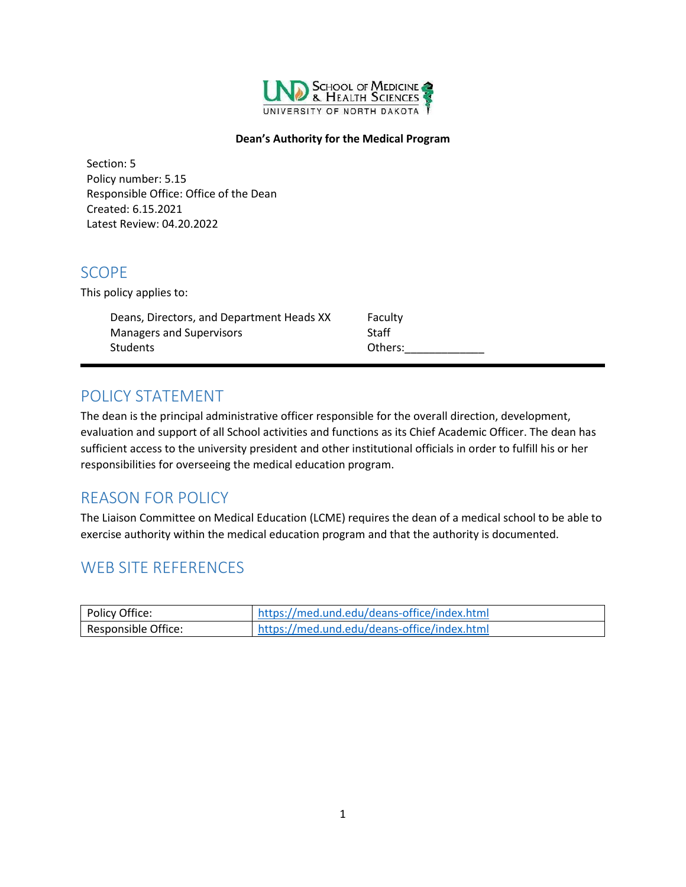

#### **Dean's Authority for the Medical Program**

Section: 5 Policy number: 5.15 Responsible Office: Office of the Dean Created: 6.15.2021 Latest Review: 04.20.2022

# <span id="page-0-0"></span>SCOPE

This policy applies to:

| Deans, Directors, and Department Heads XX | Faculty |
|-------------------------------------------|---------|
| <b>Managers and Supervisors</b>           | Staff   |
| Students                                  | Others: |
|                                           |         |

# <span id="page-0-1"></span>POLICY STATEMENT

The dean is the principal administrative officer responsible for the overall direction, development, evaluation and support of all School activities and functions as its Chief Academic Officer. The dean has sufficient access to the university president and other institutional officials in order to fulfill his or her responsibilities for overseeing the medical education program.

# <span id="page-0-2"></span>REASON FOR POLICY

The Liaison Committee on Medical Education (LCME) requires the dean of a medical school to be able to exercise authority within the medical education program and that the authority is documented.

# <span id="page-0-3"></span>WEB SITE REFERENCES

| Policy Office:      | https://med.und.edu/deans-office/index.html |
|---------------------|---------------------------------------------|
| Responsible Office: | https://med.und.edu/deans-office/index.html |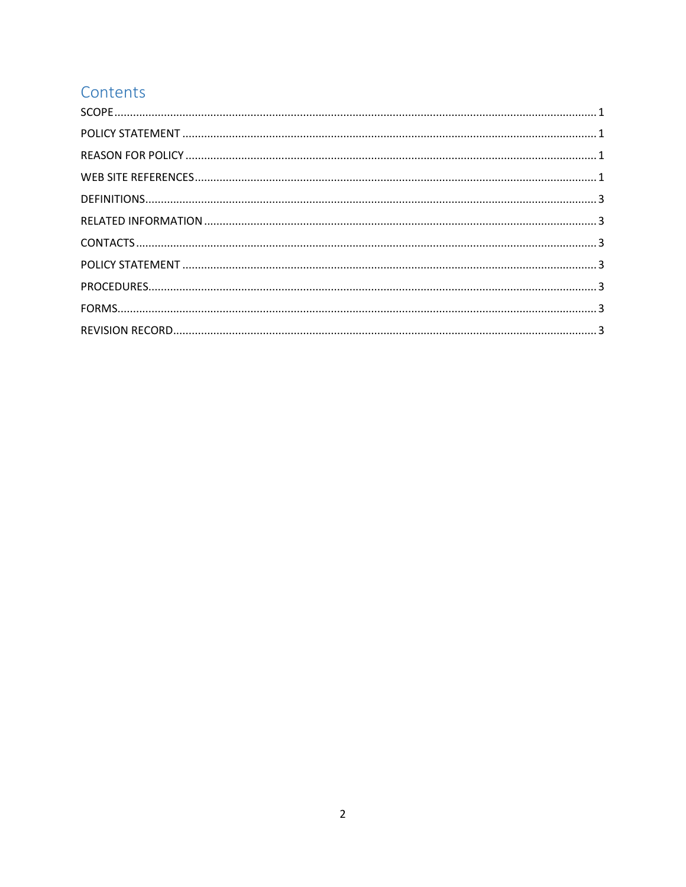# Contents